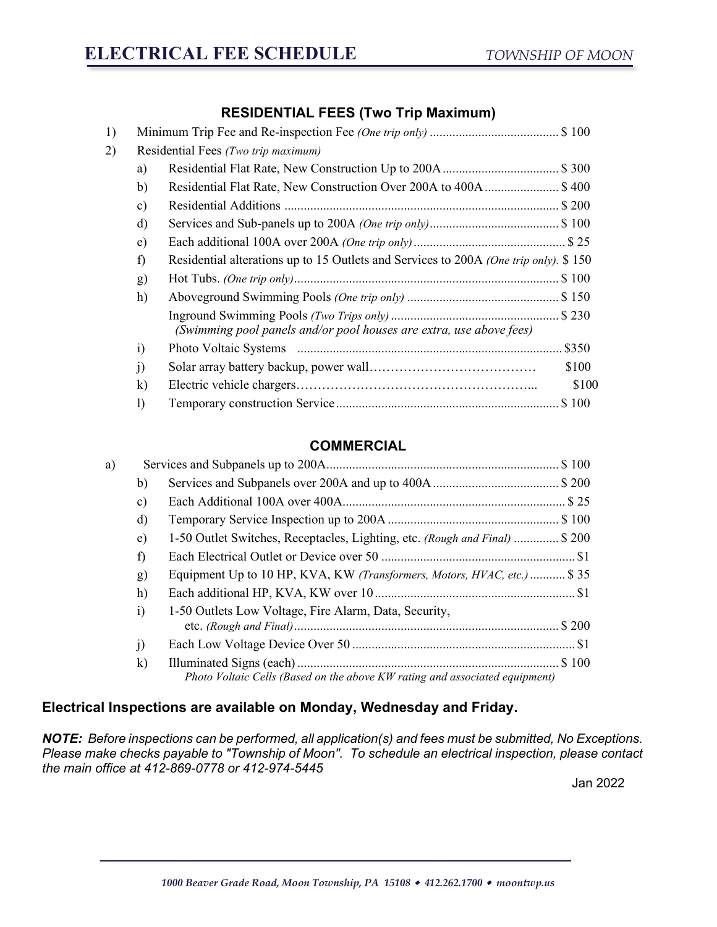## **RESIDENTIAL FEES (Two Trip Maximum)**

| 1) |               |                                                                                      |
|----|---------------|--------------------------------------------------------------------------------------|
| 2) |               | Residential Fees (Two trip maximum)                                                  |
|    | a)            |                                                                                      |
|    | b)            | Residential Flat Rate, New Construction Over 200A to 400A\$400                       |
|    | $\mathbf{c})$ |                                                                                      |
|    | d)            |                                                                                      |
|    | e)            |                                                                                      |
|    | f)            | Residential alterations up to 15 Outlets and Services to 200A (One trip only). \$150 |
|    | g)            |                                                                                      |
|    | h)            |                                                                                      |
|    |               | (Swimming pool panels and/or pool houses are extra, use above fees)                  |
|    | $\ddot{i}$    |                                                                                      |
|    | j)            | \$100                                                                                |
|    | $\bf k)$      | \$100                                                                                |
|    | $\bf{I}$      |                                                                                      |
|    |               |                                                                                      |

## **COMMERCIAL**

| a) |               |                                                                                  |  |
|----|---------------|----------------------------------------------------------------------------------|--|
|    | b)            |                                                                                  |  |
|    | $\mathbf{c})$ |                                                                                  |  |
|    | d)            |                                                                                  |  |
|    | $\epsilon$ )  | 1-50 Outlet Switches, Receptacles, Lighting, etc. <i>(Rough and Final)</i> \$200 |  |
|    | f             |                                                                                  |  |
|    | g)            | Equipment Up to 10 HP, KVA, KW (Transformers, Motors, HVAC, etc.)  \$35          |  |
|    | h)            |                                                                                  |  |
|    | $\ddot{i}$    | 1-50 Outlets Low Voltage, Fire Alarm, Data, Security,                            |  |
|    | $\rm j)$      |                                                                                  |  |
|    | $\bf k)$      | Photo Voltaic Cells (Based on the above KW rating and associated equipment)      |  |

## **Electrical Inspections are available on Monday, Wednesday and Friday.**

*NOTE:**Before inspections can be performed, all application(s) and fees must be submitted, No Exceptions. Please make checks payable to "Township of Moon". To schedule an electrical inspection, please contact the main office at 412-869-0778 or 412-974-5445*

Jan 2022